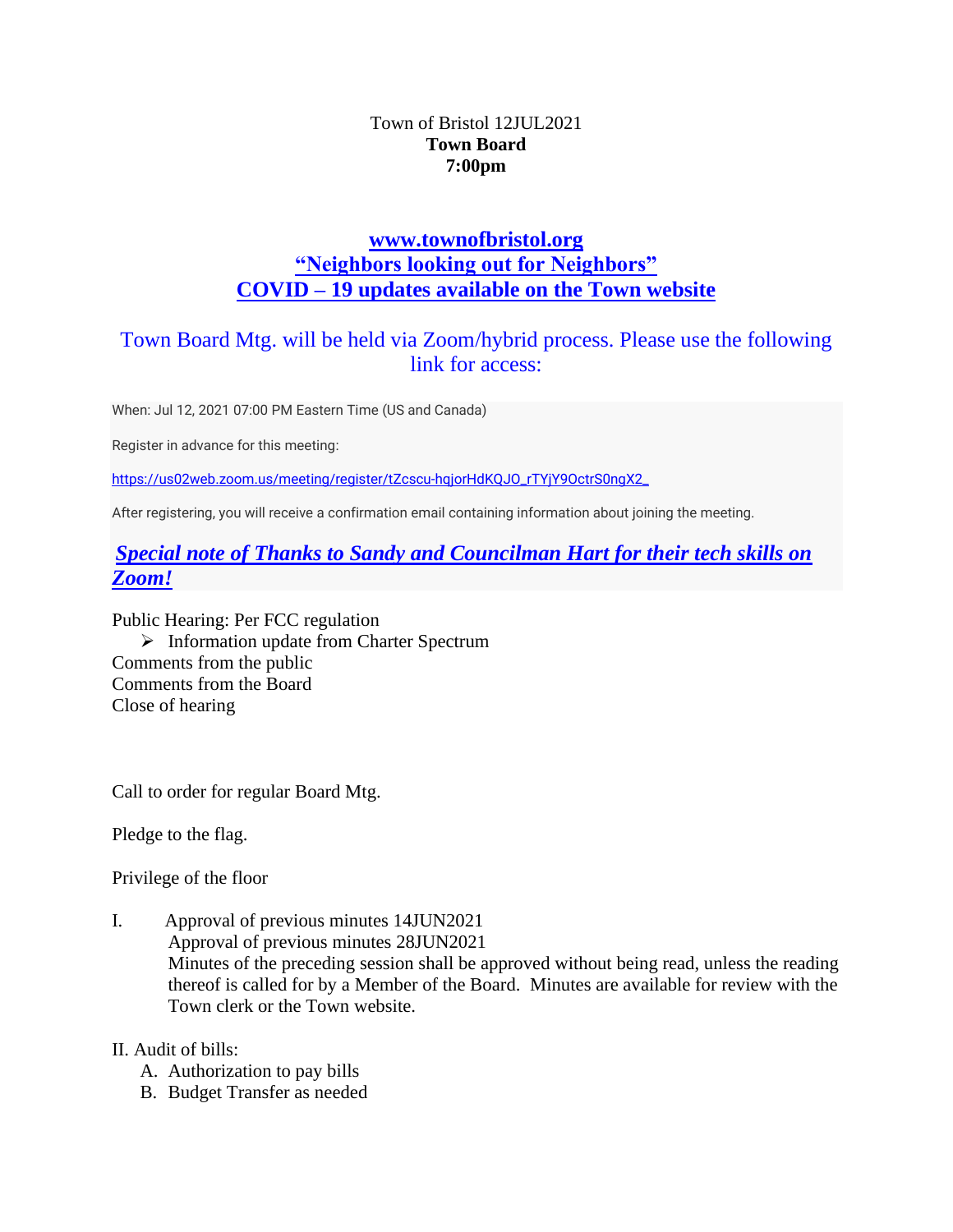### Town of Bristol 12JUL2021 **Town Board 7:00pm**

# **[www.townofbristol.org](http://www.townofbristol.org/) "Neighbors looking out for Neighbors" COVID – 19 updates available on the Town website**

# Town Board Mtg. will be held via Zoom/hybrid process. Please use the following link for access:

When: Jul 12, 2021 07:00 PM Eastern Time (US and Canada)

Register in advance for this meeting:

[https://us02web.zoom.us/meeting/register/tZcscu-hqjorHdKQJO\\_rTYjY9OctrS0ngX2\\_](https://us02web.zoom.us/meeting/register/tZcscu-hqjorHdKQJO_rTYjY9OctrS0ngX2_)

After registering, you will receive a confirmation email containing information about joining the meeting.

## *Special note of Thanks to Sandy and Councilman Hart for their tech skills on Zoom!*

Public Hearing: Per FCC regulation ➢ Information update from Charter Spectrum Comments from the public Comments from the Board Close of hearing

Call to order for regular Board Mtg.

Pledge to the flag.

Privilege of the floor

I. Approval of previous minutes 14JUN2021 Approval of previous minutes 28JUN2021 Minutes of the preceding session shall be approved without being read, unless the reading thereof is called for by a Member of the Board. Minutes are available for review with the Town clerk or the Town website.

II. Audit of bills:

- A. Authorization to pay bills
- B. Budget Transfer as needed